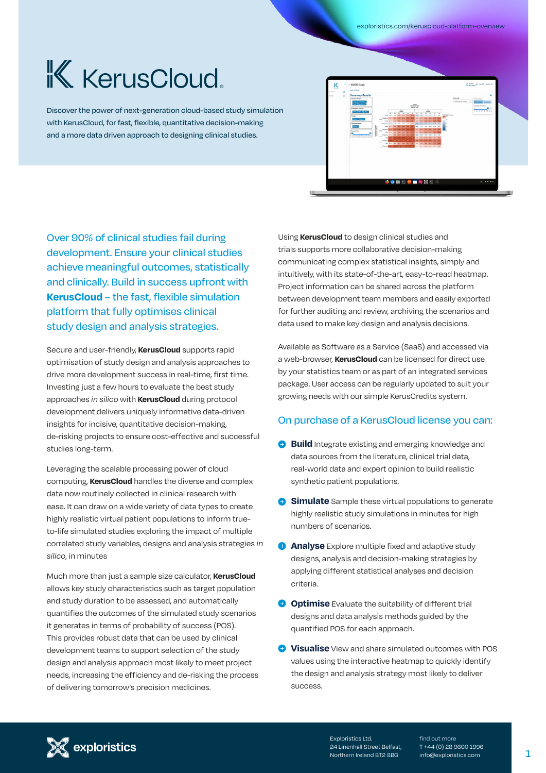exploristics.com/keruscloud-platform-overview

# K KerusCloud.

Discover the power of next-generation cloud-based study simulation with KerusCloud, for fast, flexible, quantitative decision-making and a more data driven approach to designing clinical studies.



Over 90% of clinical studies fail during development. Ensure your clinical studies achieve meaningful outcomes, statistically and clinically. Build in success upfront with **KerusCloud** – the fast, flexible simulation platform that fully optimises clinical study design and analysis strategies.

Secure and user-friendly, **KerusCloud** supports rapid optimisation of study design and analysis approaches to drive more development success in real-time, first time. Investing just a few hours to evaluate the best study approaches *in silico* with **KerusCloud** during protocol development delivers uniquely informative data-driven insights for incisive, quantitative decision-making, de-risking projects to ensure cost-effective and successful studies long-term.

Leveraging the scalable processing power of cloud computing, **KerusCloud** handles the diverse and complex data now routinely collected in clinical research with ease. It can draw on a wide variety of data types to create highly realistic virtual patient populations to inform trueto-life simulated studies exploring the impact of multiple correlated study variables, designs and analysis strategies *in silico*, in minutes

Much more than just a sample size calculator, **KerusCloud** allows key study characteristics such as target population and study duration to be assessed, and automatically quantifies the outcomes of the simulated study scenarios it generates in terms of probability of success (POS). This provides robust data that can be used by clinical development teams to support selection of the study design and analysis approach most likely to meet project needs, increasing the efficiency and de-risking the process of delivering tomorrow's precision medicines.

Using **KerusCloud** to design clinical studies and trials supports more collaborative decision-making communicating complex statistical insights, simply and intuitively, with its state-of-the-art, easy-to-read heatmap. Project information can be shared across the platform between development team members and easily exported for further auditing and review, archiving the scenarios and data used to make key design and analysis decisions.

Available as Software as a Service (SaaS) and accessed via a web-browser, **KerusCloud** can be licensed for direct use by your statistics team or as part of an integrated services package. User access can be regularly updated to suit your growing needs with our simple KerusCredits system.

## On purchase of a KerusCloud license you can:

- **Build** Integrate existing and emerging knowledge and data sources from the literature, clinical trial data, real-world data and expert opinion to build realistic synthetic patient populations.
- **Simulate** Sample these virtual populations to generate highly realistic study simulations in minutes for high numbers of scenarios.
- **Analyse** Explore multiple fixed and adaptive study designs, analysis and decision-making strategies by applying different statistical analyses and decision criteria.
- **Optimise** Evaluate the suitability of different trial designs and data analysis methods guided by the quantified POS for each approach.
- **Visualise** View and share simulated outcomes with POS values using the interactive heatmap to quickly identify the design and analysis strategy most likely to deliver success.



Exploristics Ltd. 24 Linenhall Street Belfast, Northern Ireland BT2 8BG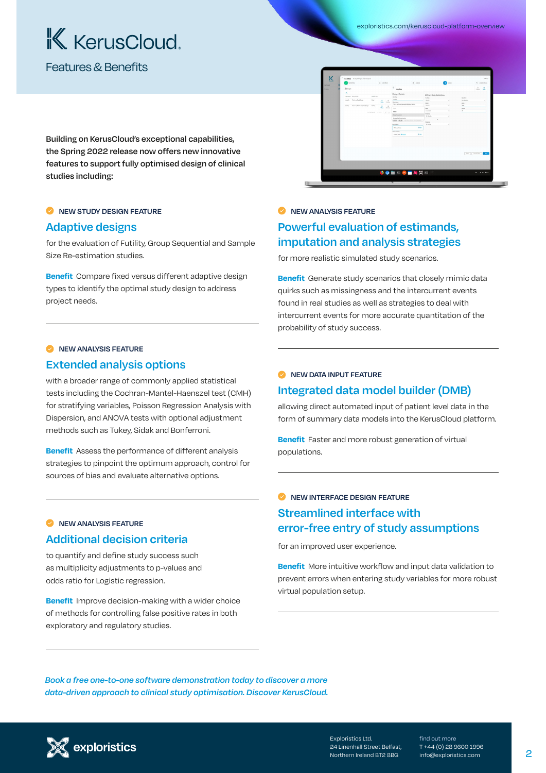## **K** KerusCloud.

Features & Benefits

**SONDO FRE** 

**Building on KerusCloud's exceptional capabilities, the Spring 2022 release now offers new innovative features to support fully optimised design of clinical studies including:**

### **NEW STUDY DESIGN FEATURE**

## **Adaptive designs**

for the evaluation of Futility, Group Sequential and Sample Size Re-estimation studies.

**Benefit** Compare fixed versus different adaptive design types to identify the optimal study design to address project needs.

### **NEW ANALYSIS FEATURE**

## **Extended analysis options**

with a broader range of commonly applied statistical tests including the Cochran-Mantel-Haenszel test (CMH) for stratifying variables, Poisson Regression Analysis with Dispersion, and ANOVA tests with optional adjustment methods such as Tukey, Sidak and Bonferroni.

**Benefit** Assess the performance of different analysis strategies to pinpoint the optimum approach, control for sources of bias and evaluate alternative options.

#### **NEW ANALYSIS FEATURE**

## **Additional decision criteria**

to quantify and define study success such as multiplicity adjustments to p-values and odds ratio for Logistic regression.

**Benefit** Improve decision-making with a wider choice of methods for controlling false positive rates in both exploratory and regulatory studies.

#### **NEW ANALYSIS FEATURE**

## **Powerful evaluation of estimands, imputation and analysis strategies**

for more realistic simulated study scenarios.

**Benefit** Generate study scenarios that closely mimic data quirks such as missingness and the intercurrent events found in real studies as well as strategies to deal with intercurrent events for more accurate quantitation of the probability of study success.

## **NEW DATA INPUT FEATURE**

## **Integrated data model builder (DMB)**

allowing direct automated input of patient level data in the form of summary data models into the KerusCloud platform.

**Benefit** Faster and more robust generation of virtual populations.

## **NEW INTERFACE DESIGN FEATURE Streamlined interface with error-free entry of study assumptions**

for an improved user experience.

**Benefit** More intuitive workflow and input data validation to prevent errors when entering study variables for more robust virtual population setup.

*Book a free one-to-one software demonstration today to discover a more data-driven approach to clinical study optimisation. Discover KerusCloud.*



Exploristics Ltd. 24 Linenhall Street Belfast, Northern Ireland BT2 8BG

find out more T +44 (0) 28 9600 1996 info@exploristics.com